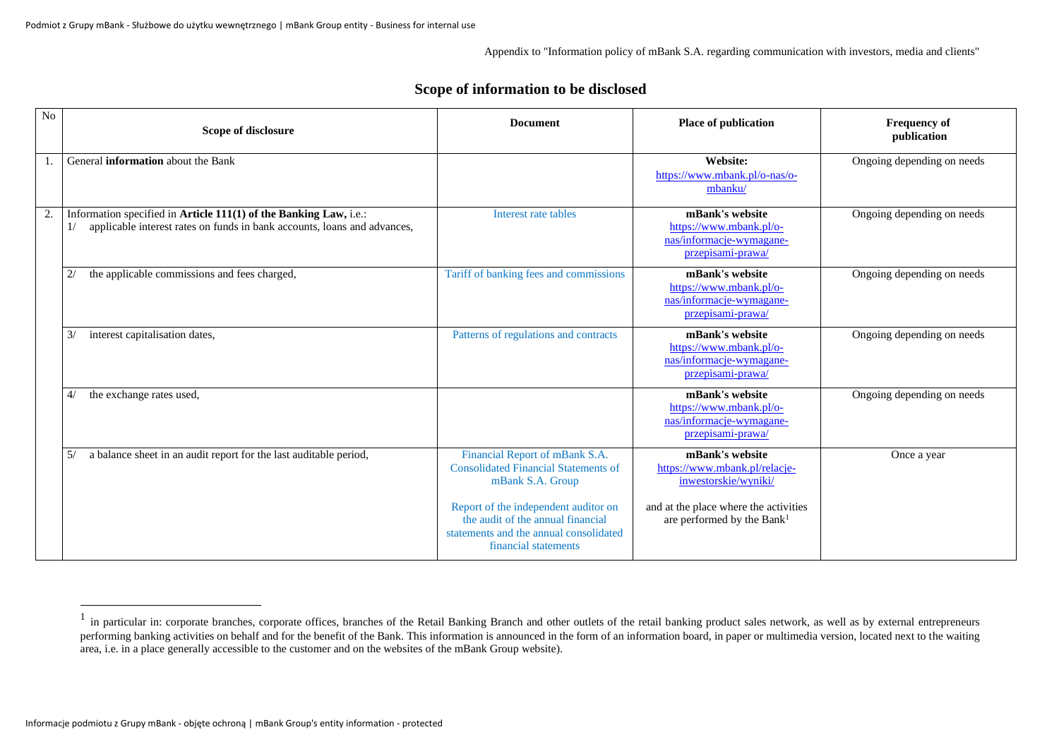Appendix to "Information policy of mBank S.A. regarding communication with investors, media and clients"

## **Scope of information to be disclosed**

| N <sub>o</sub> | Scope of disclosure                                                                                                                           | <b>Document</b>                                                                                                                             | <b>Place of publication</b>                                                                 | <b>Frequency of</b><br>publication |
|----------------|-----------------------------------------------------------------------------------------------------------------------------------------------|---------------------------------------------------------------------------------------------------------------------------------------------|---------------------------------------------------------------------------------------------|------------------------------------|
|                | General <b>information</b> about the Bank                                                                                                     |                                                                                                                                             | <b>Website:</b><br>https://www.mbank.pl/o-nas/o-<br>mbanku/                                 | Ongoing depending on needs         |
| 2.             | Information specified in Article 111(1) of the Banking Law, i.e.:<br>applicable interest rates on funds in bank accounts, loans and advances, | Interest rate tables                                                                                                                        | mBank's website<br>https://www.mbank.pl/o-<br>nas/informacje-wymagane-<br>przepisami-prawa/ | Ongoing depending on needs         |
|                | the applicable commissions and fees charged,<br>2/                                                                                            | Tariff of banking fees and commissions                                                                                                      | mBank's website<br>https://www.mbank.pl/o-<br>nas/informacje-wymagane-<br>przepisami-prawa/ | Ongoing depending on needs         |
|                | interest capitalisation dates,<br>3/                                                                                                          | Patterns of regulations and contracts                                                                                                       | mBank's website<br>https://www.mbank.pl/o-<br>nas/informacje-wymagane-<br>przepisami-prawa  | Ongoing depending on needs         |
|                | the exchange rates used,<br>4/                                                                                                                |                                                                                                                                             | mBank's website<br>https://www.mbank.pl/o-<br>nas/informacje-wymagane-<br>przepisami-prawa  | Ongoing depending on needs         |
|                | a balance sheet in an audit report for the last auditable period,<br>5/                                                                       | Financial Report of mBank S.A.<br><b>Consolidated Financial Statements of</b><br>mBank S.A. Group                                           | mBank's website<br>https://www.mbank.pl/relacje-<br>inwestorskie/wyniki/                    | Once a year                        |
|                |                                                                                                                                               | Report of the independent auditor on<br>the audit of the annual financial<br>statements and the annual consolidated<br>financial statements | and at the place where the activities<br>are performed by the Bank <sup>1</sup>             |                                    |

<sup>1</sup> in particular in: corporate branches, corporate offices, branches of the Retail Banking Branch and other outlets of the retail banking product sales network, as well as by external entrepreneurs performing banking activities on behalf and for the benefit of the Bank. This information is announced in the form of an information board, in paper or multimedia version, located next to the waiting area, i.e. in a place generally accessible to the customer and on the websites of the mBank Group website).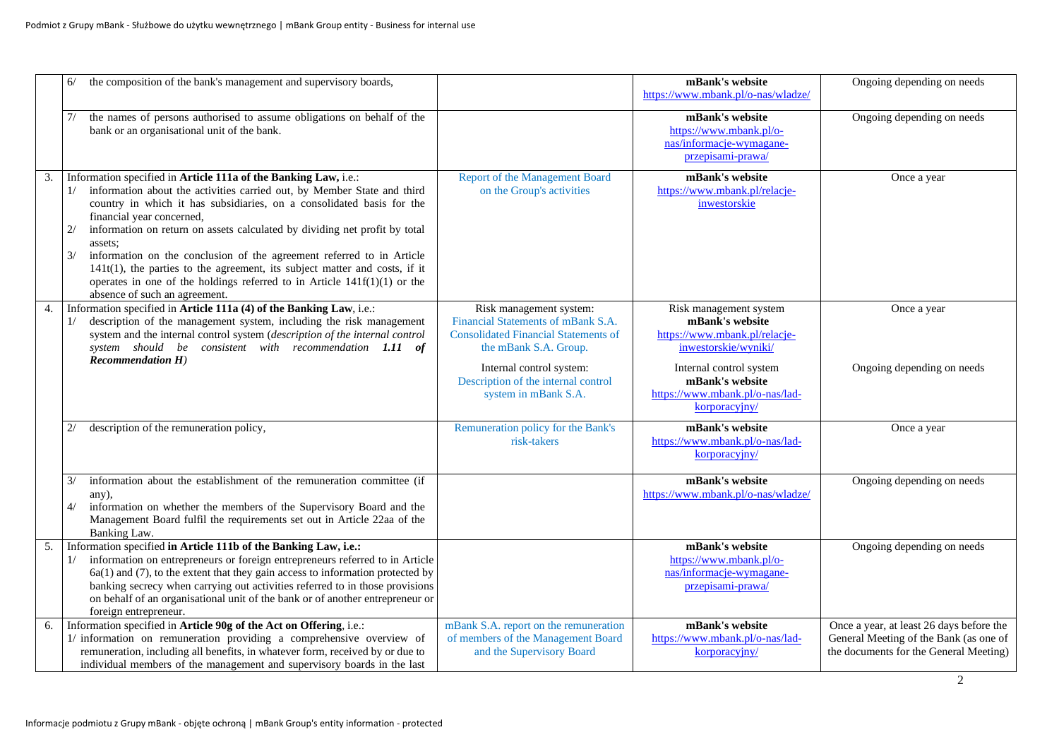|    | 6/                  | the composition of the bank's management and supervisory boards,                                                                                                                                                                                                                                                                                                                                                                                                                                                                                                                                                   |                                                                                                                                                                                                                                  | mBank's website<br>https://www.mbank.pl/o-nas/wladze/                                                                                                                                                | Ongoing depending on needs                                                                                                   |
|----|---------------------|--------------------------------------------------------------------------------------------------------------------------------------------------------------------------------------------------------------------------------------------------------------------------------------------------------------------------------------------------------------------------------------------------------------------------------------------------------------------------------------------------------------------------------------------------------------------------------------------------------------------|----------------------------------------------------------------------------------------------------------------------------------------------------------------------------------------------------------------------------------|------------------------------------------------------------------------------------------------------------------------------------------------------------------------------------------------------|------------------------------------------------------------------------------------------------------------------------------|
|    | 7/                  | the names of persons authorised to assume obligations on behalf of the<br>bank or an organisational unit of the bank.                                                                                                                                                                                                                                                                                                                                                                                                                                                                                              |                                                                                                                                                                                                                                  | mBank's website<br>https://www.mbank.pl/o-<br>nas/informacje-wymagane-<br>przepisami-prawa/                                                                                                          | Ongoing depending on needs                                                                                                   |
| 3. | 1/<br>2/<br>3/      | Information specified in Article 111a of the Banking Law, i.e.:<br>information about the activities carried out, by Member State and third<br>country in which it has subsidiaries, on a consolidated basis for the<br>financial year concerned,<br>information on return on assets calculated by dividing net profit by total<br>assets:<br>information on the conclusion of the agreement referred to in Article<br>$141t(1)$ , the parties to the agreement, its subject matter and costs, if it<br>operates in one of the holdings referred to in Article $141f(1)(1)$ or the<br>absence of such an agreement. | Report of the Management Board<br>on the Group's activities                                                                                                                                                                      | mBank's website<br>https://www.mbank.pl/relacje-<br>inwestorskie                                                                                                                                     | Once a year                                                                                                                  |
| 4. | 1/                  | Information specified in Article 111a (4) of the Banking Law, i.e.:<br>description of the management system, including the risk management<br>system and the internal control system (description of the internal control<br>system should be consistent with recommendation 1.11 of<br><b>Recommendation H)</b>                                                                                                                                                                                                                                                                                                   | Risk management system:<br>Financial Statements of mBank S.A.<br><b>Consolidated Financial Statements of</b><br>the mBank S.A. Group.<br>Internal control system:<br>Description of the internal control<br>system in mBank S.A. | Risk management system<br>mBank's website<br>https://www.mbank.pl/relacje-<br>inwestorskie/wyniki/<br>Internal control system<br>mBank's website<br>https://www.mbank.pl/o-nas/lad-<br>korporacyjny/ | Once a year<br>Ongoing depending on needs                                                                                    |
|    | 2/                  | description of the remuneration policy,                                                                                                                                                                                                                                                                                                                                                                                                                                                                                                                                                                            | Remuneration policy for the Bank's<br>risk-takers                                                                                                                                                                                | mBank's website<br>https://www.mbank.pl/o-nas/lad-<br>korporacyjny/                                                                                                                                  | Once a year                                                                                                                  |
|    | $\frac{3}{2}$<br>4/ | information about the establishment of the remuneration committee (if<br>any),<br>information on whether the members of the Supervisory Board and the<br>Management Board fulfil the requirements set out in Article 22aa of the<br>Banking Law.                                                                                                                                                                                                                                                                                                                                                                   |                                                                                                                                                                                                                                  | mBank's website<br>https://www.mbank.pl/o-nas/wladze/                                                                                                                                                | Ongoing depending on needs                                                                                                   |
| 5. | 1/                  | Information specified in Article 111b of the Banking Law, i.e.:<br>information on entrepreneurs or foreign entrepreneurs referred to in Article<br>$6a(1)$ and (7), to the extent that they gain access to information protected by<br>banking secrecy when carrying out activities referred to in those provisions<br>on behalf of an organisational unit of the bank or of another entrepreneur or<br>foreign entrepreneur.                                                                                                                                                                                      |                                                                                                                                                                                                                                  | mBank's website<br>https://www.mbank.pl/o-<br>nas/informacje-wymagane-<br>przepisami-prawa/                                                                                                          | Ongoing depending on needs                                                                                                   |
| 6. |                     | Information specified in Article 90g of the Act on Offering, i.e.:<br>1/ information on remuneration providing a comprehensive overview of<br>remuneration, including all benefits, in whatever form, received by or due to<br>individual members of the management and supervisory boards in the last                                                                                                                                                                                                                                                                                                             | mBank S.A. report on the remuneration<br>of members of the Management Board<br>and the Supervisory Board                                                                                                                         | mBank's website<br>https://www.mbank.pl/o-nas/lad-<br>korporacyjny/                                                                                                                                  | Once a year, at least 26 days before the<br>General Meeting of the Bank (as one of<br>the documents for the General Meeting) |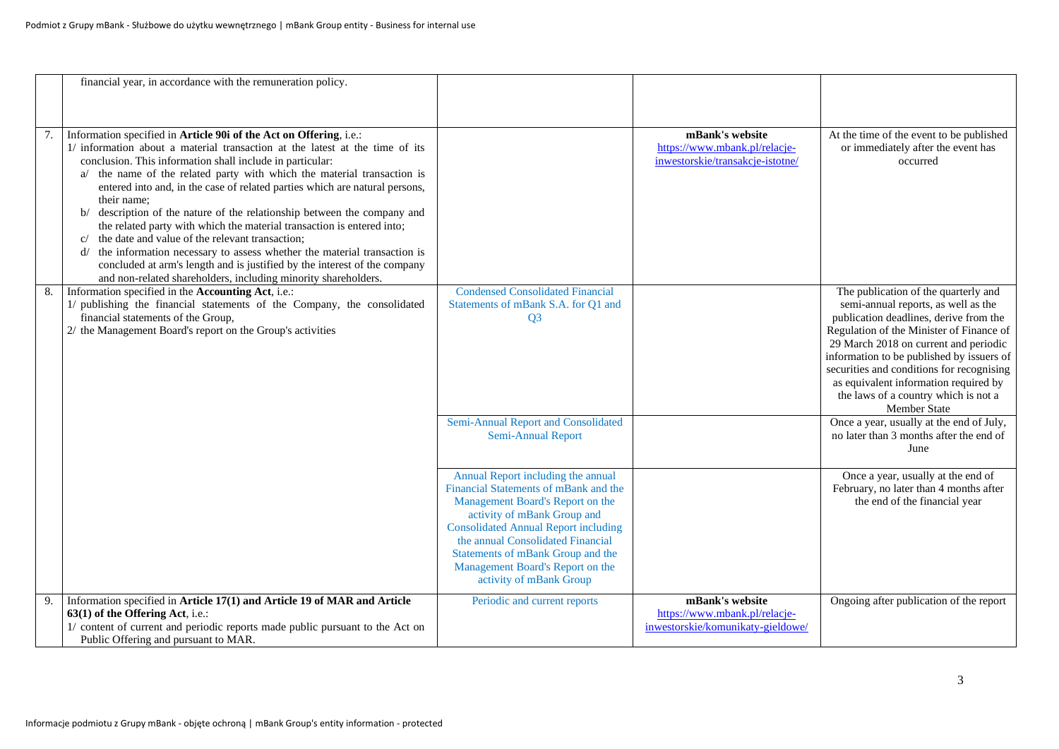|    | financial year, in accordance with the remuneration policy.                                                                                                                                                                                                                                                                                                                                                                                                                                                                                                                                                                                                                                                                                                                                                                             |                                                                                                                                                                                                                                                                                                                                        |                                                                                      |                                                                                                                                                                                                                                                                                                                                                                                                              |
|----|-----------------------------------------------------------------------------------------------------------------------------------------------------------------------------------------------------------------------------------------------------------------------------------------------------------------------------------------------------------------------------------------------------------------------------------------------------------------------------------------------------------------------------------------------------------------------------------------------------------------------------------------------------------------------------------------------------------------------------------------------------------------------------------------------------------------------------------------|----------------------------------------------------------------------------------------------------------------------------------------------------------------------------------------------------------------------------------------------------------------------------------------------------------------------------------------|--------------------------------------------------------------------------------------|--------------------------------------------------------------------------------------------------------------------------------------------------------------------------------------------------------------------------------------------------------------------------------------------------------------------------------------------------------------------------------------------------------------|
|    |                                                                                                                                                                                                                                                                                                                                                                                                                                                                                                                                                                                                                                                                                                                                                                                                                                         |                                                                                                                                                                                                                                                                                                                                        |                                                                                      |                                                                                                                                                                                                                                                                                                                                                                                                              |
|    |                                                                                                                                                                                                                                                                                                                                                                                                                                                                                                                                                                                                                                                                                                                                                                                                                                         |                                                                                                                                                                                                                                                                                                                                        |                                                                                      |                                                                                                                                                                                                                                                                                                                                                                                                              |
| 7. | Information specified in Article 90i of the Act on Offering, i.e.:<br>1/ information about a material transaction at the latest at the time of its<br>conclusion. This information shall include in particular:<br>a/ the name of the related party with which the material transaction is<br>entered into and, in the case of related parties which are natural persons,<br>their name;<br>b/ description of the nature of the relationship between the company and<br>the related party with which the material transaction is entered into;<br>the date and value of the relevant transaction;<br>C/<br>the information necessary to assess whether the material transaction is<br>d/<br>concluded at arm's length and is justified by the interest of the company<br>and non-related shareholders, including minority shareholders. |                                                                                                                                                                                                                                                                                                                                        | mBank's website<br>https://www.mbank.pl/relacje-<br>inwestorskie/transakcje-istotne/ | At the time of the event to be published<br>or immediately after the event has<br>occurred                                                                                                                                                                                                                                                                                                                   |
| 8. | Information specified in the Accounting Act, i.e.:<br>1/ publishing the financial statements of the Company, the consolidated<br>financial statements of the Group,<br>2/ the Management Board's report on the Group's activities                                                                                                                                                                                                                                                                                                                                                                                                                                                                                                                                                                                                       | <b>Condensed Consolidated Financial</b><br>Statements of mBank S.A. for Q1 and<br>Q <sub>3</sub>                                                                                                                                                                                                                                       |                                                                                      | The publication of the quarterly and<br>semi-annual reports, as well as the<br>publication deadlines, derive from the<br>Regulation of the Minister of Finance of<br>29 March 2018 on current and periodic<br>information to be published by issuers of<br>securities and conditions for recognising<br>as equivalent information required by<br>the laws of a country which is not a<br><b>Member State</b> |
|    |                                                                                                                                                                                                                                                                                                                                                                                                                                                                                                                                                                                                                                                                                                                                                                                                                                         | Semi-Annual Report and Consolidated<br>Semi-Annual Report                                                                                                                                                                                                                                                                              |                                                                                      | Once a year, usually at the end of July,<br>no later than 3 months after the end of<br>June                                                                                                                                                                                                                                                                                                                  |
|    |                                                                                                                                                                                                                                                                                                                                                                                                                                                                                                                                                                                                                                                                                                                                                                                                                                         | Annual Report including the annual<br>Financial Statements of mBank and the<br>Management Board's Report on the<br>activity of mBank Group and<br><b>Consolidated Annual Report including</b><br>the annual Consolidated Financial<br>Statements of mBank Group and the<br>Management Board's Report on the<br>activity of mBank Group |                                                                                      | Once a year, usually at the end of<br>February, no later than 4 months after<br>the end of the financial year                                                                                                                                                                                                                                                                                                |
| 9. | Information specified in Article 17(1) and Article 19 of MAR and Article<br>63(1) of the Offering Act, i.e.:                                                                                                                                                                                                                                                                                                                                                                                                                                                                                                                                                                                                                                                                                                                            | Periodic and current reports                                                                                                                                                                                                                                                                                                           | mBank's website<br>https://www.mbank.pl/relacje-                                     | Ongoing after publication of the report                                                                                                                                                                                                                                                                                                                                                                      |
|    | 1/ content of current and periodic reports made public pursuant to the Act on<br>Public Offering and pursuant to MAR.                                                                                                                                                                                                                                                                                                                                                                                                                                                                                                                                                                                                                                                                                                                   |                                                                                                                                                                                                                                                                                                                                        | inwestorskie/komunikaty-gieldowe/                                                    |                                                                                                                                                                                                                                                                                                                                                                                                              |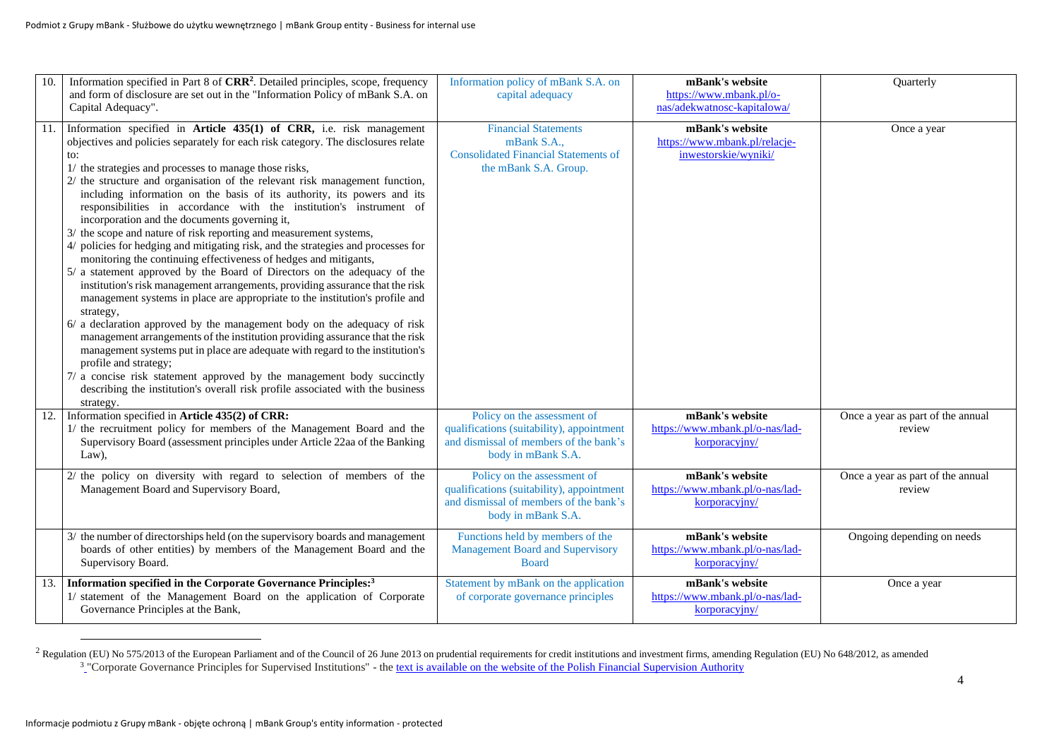| 10. | Information specified in Part 8 of CRR <sup>2</sup> . Detailed principles, scope, frequency<br>and form of disclosure are set out in the "Information Policy of mBank S.A. on<br>Capital Adequacy".                                                                                                                                                                                                                                                                                                                                                                                                                                                                                                                                                                                                                                                                                                                                                                                                                                                                                                                                                                                                                                                                                                                                                                                                                                                      | Information policy of mBank S.A. on<br>capital adequacy                                                                                  | mBank's website<br>https://www.mbank.pl/o-<br>nas/adekwatnosc-kapitalowa/ | Quarterly                                   |
|-----|----------------------------------------------------------------------------------------------------------------------------------------------------------------------------------------------------------------------------------------------------------------------------------------------------------------------------------------------------------------------------------------------------------------------------------------------------------------------------------------------------------------------------------------------------------------------------------------------------------------------------------------------------------------------------------------------------------------------------------------------------------------------------------------------------------------------------------------------------------------------------------------------------------------------------------------------------------------------------------------------------------------------------------------------------------------------------------------------------------------------------------------------------------------------------------------------------------------------------------------------------------------------------------------------------------------------------------------------------------------------------------------------------------------------------------------------------------|------------------------------------------------------------------------------------------------------------------------------------------|---------------------------------------------------------------------------|---------------------------------------------|
|     | 11. Information specified in Article 435(1) of CRR, i.e. risk management<br>objectives and policies separately for each risk category. The disclosures relate<br>to:<br>1/ the strategies and processes to manage those risks,<br>2/ the structure and organisation of the relevant risk management function,<br>including information on the basis of its authority, its powers and its<br>responsibilities in accordance with the institution's instrument of<br>incorporation and the documents governing it,<br>3/ the scope and nature of risk reporting and measurement systems,<br>4/ policies for hedging and mitigating risk, and the strategies and processes for<br>monitoring the continuing effectiveness of hedges and mitigants,<br>5/ a statement approved by the Board of Directors on the adequacy of the<br>institution's risk management arrangements, providing assurance that the risk<br>management systems in place are appropriate to the institution's profile and<br>strategy,<br>6/ a declaration approved by the management body on the adequacy of risk<br>management arrangements of the institution providing assurance that the risk<br>management systems put in place are adequate with regard to the institution's<br>profile and strategy;<br>7/ a concise risk statement approved by the management body succinctly<br>describing the institution's overall risk profile associated with the business<br>strategy. | <b>Financial Statements</b><br>mBank S.A.,<br><b>Consolidated Financial Statements of</b><br>the mBank S.A. Group.                       | mBank's website<br>https://www.mbank.pl/relacje-<br>inwestorskie/wyniki/  | Once a year                                 |
| 12. | Information specified in Article 435(2) of CRR:<br>1/ the recruitment policy for members of the Management Board and the<br>Supervisory Board (assessment principles under Article 22aa of the Banking<br>Law),                                                                                                                                                                                                                                                                                                                                                                                                                                                                                                                                                                                                                                                                                                                                                                                                                                                                                                                                                                                                                                                                                                                                                                                                                                          | Policy on the assessment of<br>qualifications (suitability), appointment<br>and dismissal of members of the bank's<br>body in mBank S.A. | mBank's website<br>https://www.mbank.pl/o-nas/lad-<br>korporacyjny/       | Once a year as part of the annual<br>review |
|     | 2/ the policy on diversity with regard to selection of members of the<br>Management Board and Supervisory Board,                                                                                                                                                                                                                                                                                                                                                                                                                                                                                                                                                                                                                                                                                                                                                                                                                                                                                                                                                                                                                                                                                                                                                                                                                                                                                                                                         | Policy on the assessment of<br>qualifications (suitability), appointment<br>and dismissal of members of the bank's<br>body in mBank S.A. | mBank's website<br>https://www.mbank.pl/o-nas/lad-<br>korporacyjny/       | Once a year as part of the annual<br>review |
|     | 3/ the number of directorships held (on the supervisory boards and management<br>boards of other entities) by members of the Management Board and the<br>Supervisory Board.                                                                                                                                                                                                                                                                                                                                                                                                                                                                                                                                                                                                                                                                                                                                                                                                                                                                                                                                                                                                                                                                                                                                                                                                                                                                              | Functions held by members of the<br><b>Management Board and Supervisory</b><br><b>Board</b>                                              | mBank's website<br>https://www.mbank.pl/o-nas/lad-<br>korporacyjny/       | Ongoing depending on needs                  |
| 13. | Information specified in the Corporate Governance Principles: <sup>3</sup><br>1/ statement of the Management Board on the application of Corporate<br>Governance Principles at the Bank,                                                                                                                                                                                                                                                                                                                                                                                                                                                                                                                                                                                                                                                                                                                                                                                                                                                                                                                                                                                                                                                                                                                                                                                                                                                                 | Statement by mBank on the application<br>of corporate governance principles                                                              | mBank's website<br>https://www.mbank.pl/o-nas/lad-<br>korporacyjny/       | Once a year                                 |

<sup>2</sup> Regulation (EU) No 575/2013 of the European Parliament and of the Council of 26 June 2013 on prudential requirements for credit institutions and investment firms, amending Regulation (EU) No 648/2012, as amended <sup>3</sup> C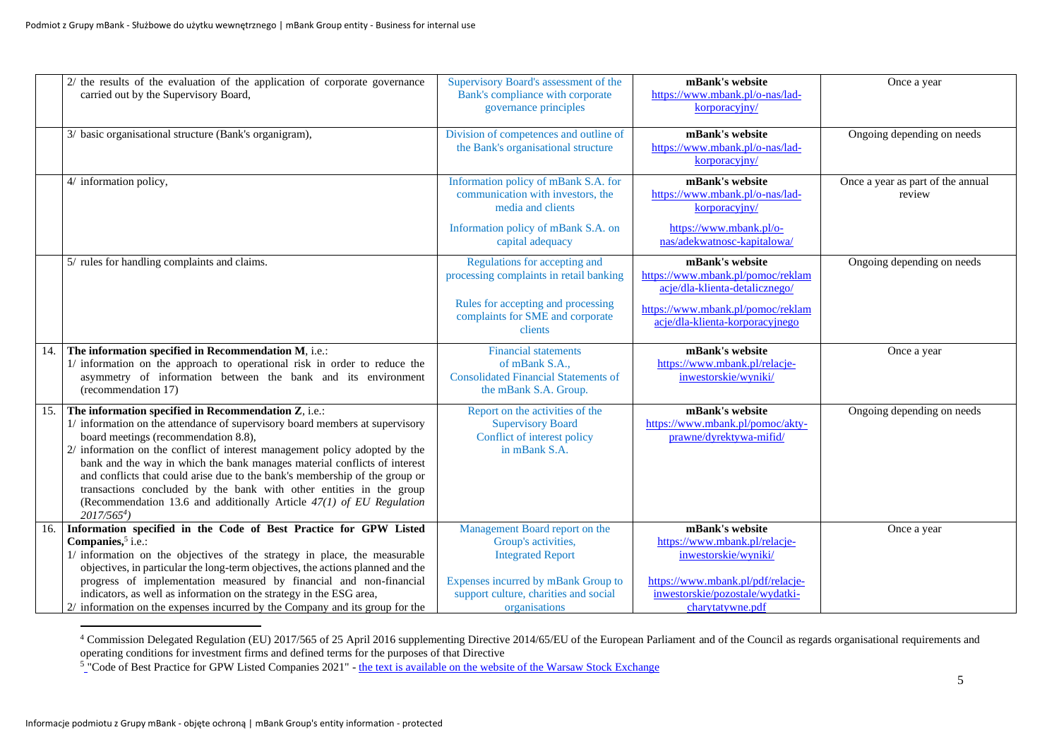|     | 2/ the results of the evaluation of the application of corporate governance                                         | Supervisory Board's assessment of the                                | mBank's website                                  | Once a year                       |
|-----|---------------------------------------------------------------------------------------------------------------------|----------------------------------------------------------------------|--------------------------------------------------|-----------------------------------|
|     | carried out by the Supervisory Board,                                                                               | Bank's compliance with corporate                                     | https://www.mbank.pl/o-nas/lad-                  |                                   |
|     |                                                                                                                     | governance principles                                                | korporacyjny/                                    |                                   |
|     | 3/ basic organisational structure (Bank's organigram),                                                              | Division of competences and outline of                               | mBank's website                                  | Ongoing depending on needs        |
|     |                                                                                                                     | the Bank's organisational structure                                  | https://www.mbank.pl/o-nas/lad-                  |                                   |
|     |                                                                                                                     |                                                                      | korporacviny/                                    |                                   |
|     | 4/ information policy,                                                                                              | Information policy of mBank S.A. for                                 | mBank's website                                  | Once a year as part of the annual |
|     |                                                                                                                     | communication with investors, the                                    | https://www.mbank.pl/o-nas/lad-                  | review                            |
|     |                                                                                                                     | media and clients                                                    | korporacyjny/                                    |                                   |
|     |                                                                                                                     | Information policy of mBank S.A. on                                  | https://www.mbank.pl/o-                          |                                   |
|     |                                                                                                                     | capital adequacy                                                     | nas/adekwatnosc-kapitalowa/                      |                                   |
|     | 5/ rules for handling complaints and claims.                                                                        | Regulations for accepting and                                        | mBank's website                                  | Ongoing depending on needs        |
|     |                                                                                                                     | processing complaints in retail banking                              | https://www.mbank.pl/pomoc/reklam                |                                   |
|     |                                                                                                                     |                                                                      | acje/dla-klienta-detalicznego/                   |                                   |
|     |                                                                                                                     | Rules for accepting and processing                                   | https://www.mbank.pl/pomoc/reklam                |                                   |
|     |                                                                                                                     | complaints for SME and corporate<br>clients                          | acje/dla-klienta-korporacyjnego                  |                                   |
|     |                                                                                                                     |                                                                      |                                                  |                                   |
| 14. | The information specified in Recommendation M, i.e.:                                                                | <b>Financial statements</b>                                          | mBank's website                                  | Once a year                       |
|     | 1/ information on the approach to operational risk in order to reduce the                                           | of mBank S.A.,                                                       | https://www.mbank.pl/relacje-                    |                                   |
|     | asymmetry of information between the bank and its environment<br>(recommendation 17)                                | <b>Consolidated Financial Statements of</b><br>the mBank S.A. Group. | inwestorskie/wyniki/                             |                                   |
|     |                                                                                                                     |                                                                      |                                                  |                                   |
| 15. | The information specified in Recommendation Z, i.e.:                                                                | Report on the activities of the                                      | mBank's website                                  | Ongoing depending on needs        |
|     | 1/ information on the attendance of supervisory board members at supervisory                                        | <b>Supervisory Board</b>                                             | https://www.mbank.pl/pomoc/akty-                 |                                   |
|     | board meetings (recommendation 8.8),<br>2/ information on the conflict of interest management policy adopted by the | Conflict of interest policy<br>in mBank S.A.                         | prawne/dyrektywa-mifid/                          |                                   |
|     | bank and the way in which the bank manages material conflicts of interest                                           |                                                                      |                                                  |                                   |
|     | and conflicts that could arise due to the bank's membership of the group or                                         |                                                                      |                                                  |                                   |
|     | transactions concluded by the bank with other entities in the group                                                 |                                                                      |                                                  |                                   |
|     | (Recommendation 13.6 and additionally Article $47(1)$ of EU Regulation                                              |                                                                      |                                                  |                                   |
|     | $2017/5654$ )                                                                                                       |                                                                      |                                                  |                                   |
| 16. | Information specified in the Code of Best Practice for GPW Listed<br>Companies, <sup>5</sup> i.e.:                  | Management Board report on the                                       | mBank's website<br>https://www.mbank.pl/relacje- | Once a year                       |
|     | 1/ information on the objectives of the strategy in place, the measurable                                           | Group's activities,<br><b>Integrated Report</b>                      | inwestorskie/wyniki/                             |                                   |
|     | objectives, in particular the long-term objectives, the actions planned and the                                     |                                                                      |                                                  |                                   |
|     | progress of implementation measured by financial and non-financial                                                  | Expenses incurred by mBank Group to                                  | https://www.mbank.pl/pdf/relacje-                |                                   |
|     | indicators, as well as information on the strategy in the ESG area,                                                 | support culture, charities and social                                | inwestorskie/pozostałe/wydatki-                  |                                   |
|     | 2/ information on the expenses incurred by the Company and its group for the                                        | organisations                                                        | charytatywne.pdf                                 |                                   |

<sup>&</sup>lt;sup>4</sup> Commission Delegated Regulation (EU) 2017/565 of 25 April 2016 supplementing Directive 2014/65/EU of the European Parliament and of the Council as regards organisational requirements and operating conditions for investment firms and defined terms for the purposes of that Directive

<sup>&</sup>lt;sup>5</sup> ["](https://www.gpw.pl/dobre-praktyki2021)Code of Best Practice for GPW Listed Companies 2021" - [the text is available on the website of the Warsaw Stock Exchange](https://www.gpw.pl/dobre-praktyki2021)